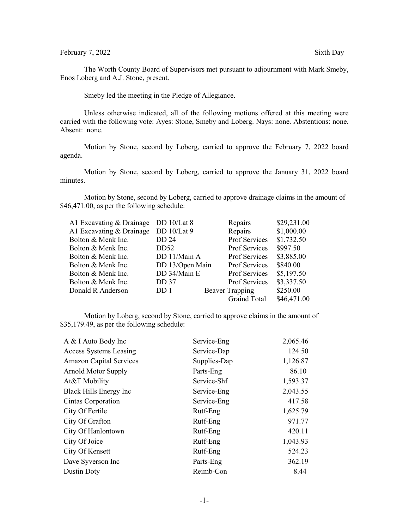## February 7, 2022 Sixth Day

The Worth County Board of Supervisors met pursuant to adjournment with Mark Smeby, Enos Loberg and A.J. Stone, present.

Smeby led the meeting in the Pledge of Allegiance.

Unless otherwise indicated, all of the following motions offered at this meeting were carried with the following vote: Ayes: Stone, Smeby and Loberg. Nays: none. Abstentions: none. Absent: none.

Motion by Stone, second by Loberg, carried to approve the February 7, 2022 board agenda.

Motion by Stone, second by Loberg, carried to approve the January 31, 2022 board minutes.

Motion by Stone, second by Loberg, carried to approve drainage claims in the amount of \$46,471.00, as per the following schedule:

| A1 Excavating & Drainage DD 10/Lat 8 |                  | Repairs                | \$29,231.00 |
|--------------------------------------|------------------|------------------------|-------------|
| A1 Excavating & Drainage DD 10/Lat 9 |                  | Repairs                | \$1,000.00  |
| Bolton & Menk Inc.                   | DD 24            | Prof Services          | \$1,732.50  |
| Bolton & Menk Inc.                   | DD <sub>52</sub> | <b>Prof Services</b>   | \$997.50    |
| Bolton & Menk Inc.                   | DD 11/Main A     | Prof Services          | \$3,885.00  |
| Bolton & Menk Inc.                   | DD 13/Open Main  | <b>Prof Services</b>   | \$840.00    |
| Bolton & Menk Inc.                   | DD 34/Main E     | <b>Prof Services</b>   | \$5,197.50  |
| Bolton & Menk Inc.                   | <b>DD</b> 37     | <b>Prof Services</b>   | \$3,337.50  |
| Donald R Anderson                    | DD 1             | <b>Beaver Trapping</b> | \$250.00    |
|                                      |                  | <b>Graind Total</b>    | \$46,471.00 |

Motion by Loberg, second by Stone, carried to approve claims in the amount of \$35,179.49, as per the following schedule:

| Service-Eng  | 2,065.46 |
|--------------|----------|
| Service-Dap  | 124.50   |
| Supplies-Dap | 1,126.87 |
| Parts-Eng    | 86.10    |
| Service-Shf  | 1,593.37 |
| Service-Eng  | 2,043.55 |
| Service-Eng  | 417.58   |
| Rutf-Eng     | 1,625.79 |
| Rutf-Eng     | 971.77   |
| Rutf-Eng     | 420.11   |
| Rutf-Eng     | 1,043.93 |
| Rutf-Eng     | 524.23   |
| Parts-Eng    | 362.19   |
| Reimb-Con    | 8.44     |
|              |          |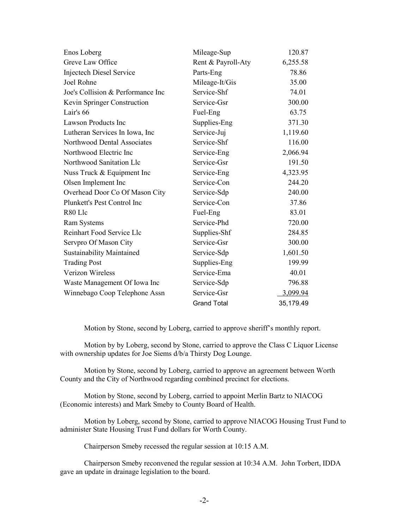| Enos Loberg                       | Mileage-Sup        | 120.87    |
|-----------------------------------|--------------------|-----------|
| Greve Law Office                  | Rent & Payroll-Aty | 6,255.58  |
| Injectech Diesel Service          | Parts-Eng          | 78.86     |
| Joel Rohne                        | Mileage-It/Gis     | 35.00     |
| Joe's Collision & Performance Inc | Service-Shf        | 74.01     |
| Kevin Springer Construction       | Service-Gsr        | 300.00    |
| Lair's 66                         | Fuel-Eng           | 63.75     |
| <b>Lawson Products Inc</b>        | Supplies-Eng       | 371.30    |
| Lutheran Services In Iowa, Inc    | Service-Juj        | 1,119.60  |
| Northwood Dental Associates       | Service-Shf        | 116.00    |
| Northwood Electric Inc            | Service-Eng        | 2,066.94  |
| Northwood Sanitation Llc          | Service-Gsr        | 191.50    |
| Nuss Truck & Equipment Inc        | Service-Eng        | 4,323.95  |
| Olsen Implement Inc               | Service-Con        | 244.20    |
| Overhead Door Co Of Mason City    | Service-Sdp        | 240.00    |
| Plunkett's Pest Control Inc       | Service-Con        | 37.86     |
| R80 Llc                           | Fuel-Eng           | 83.01     |
| <b>Ram Systems</b>                | Service-Phd        | 720.00    |
| Reinhart Food Service Llc         | Supplies-Shf       | 284.85    |
| Servpro Of Mason City             | Service-Gsr        | 300.00    |
| <b>Sustainability Maintained</b>  | Service-Sdp        | 1,601.50  |
| <b>Trading Post</b>               | Supplies-Eng       | 199.99    |
| Verizon Wireless                  | Service-Ema        | 40.01     |
| Waste Management Of Iowa Inc      | Service-Sdp        | 796.88    |
| Winnebago Coop Telephone Assn     | Service-Gsr        | 3,099.94  |
|                                   | <b>Grand Total</b> | 35,179.49 |

Motion by Stone, second by Loberg, carried to approve sheriff's monthly report.

Motion by by Loberg, second by Stone, carried to approve the Class C Liquor License with ownership updates for Joe Siems d/b/a Thirsty Dog Lounge.

Motion by Stone, second by Loberg, carried to approve an agreement between Worth County and the City of Northwood regarding combined precinct for elections.

Motion by Stone, second by Loberg, carried to appoint Merlin Bartz to NIACOG (Economic interests) and Mark Smeby to County Board of Health.

Motion by Loberg, second by Stone, carried to approve NIACOG Housing Trust Fund to administer State Housing Trust Fund dollars for Worth County.

Chairperson Smeby recessed the regular session at 10:15 A.M.

Chairperson Smeby reconvened the regular session at 10:34 A.M. John Torbert, IDDA gave an update in drainage legislation to the board.